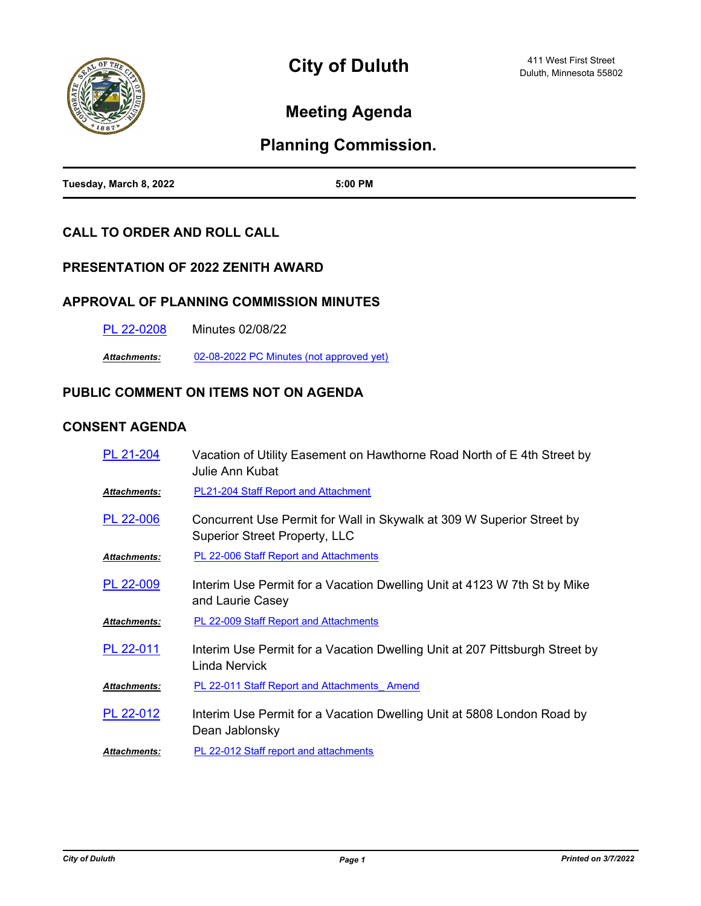

# **Meeting Agenda**

# **Planning Commission.**

| Tuesday, March 8, 2022 | 5:00 PM |
|------------------------|---------|

### **CALL TO ORDER AND ROLL CALL**

### **PRESENTATION OF 2022 ZENITH AWARD**

#### **APPROVAL OF PLANNING COMMISSION MINUTES**

[PL 22-0208](http://duluth-mn.legistar.com/gateway.aspx?m=l&id=/matter.aspx?key=7954) Minutes 02/08/22

*Attachments:* [02-08-2022 PC Minutes \(not approved yet\)](http://duluth-mn.legistar.com/gateway.aspx?M=F&ID=1d3b849f-caa8-4b85-b60b-d06153ba1392.pdf)

## **PUBLIC COMMENT ON ITEMS NOT ON AGENDA**

#### **CONSENT AGENDA**

| PL 21-204           | Vacation of Utility Easement on Hawthorne Road North of E 4th Street by<br>Julie Ann Kubat                    |
|---------------------|---------------------------------------------------------------------------------------------------------------|
| Attachments:        | <b>PL21-204 Staff Report and Attachment</b>                                                                   |
| PL 22-006           | Concurrent Use Permit for Wall in Skywalk at 309 W Superior Street by<br><b>Superior Street Property, LLC</b> |
| <b>Attachments:</b> | PL 22-006 Staff Report and Attachments                                                                        |
| PL 22-009           | Interim Use Permit for a Vacation Dwelling Unit at 4123 W 7th St by Mike<br>and Laurie Casey                  |
| <b>Attachments:</b> | PL 22-009 Staff Report and Attachments                                                                        |
| PL 22-011           | Interim Use Permit for a Vacation Dwelling Unit at 207 Pittsburgh Street by<br>Linda Nervick                  |
| Attachments:        | <b>PL 22-011 Staff Report and Attachments Amend</b>                                                           |
| PL 22-012           | Interim Use Permit for a Vacation Dwelling Unit at 5808 London Road by<br>Dean Jablonsky                      |
| <b>Attachments:</b> | PL 22-012 Staff report and attachments                                                                        |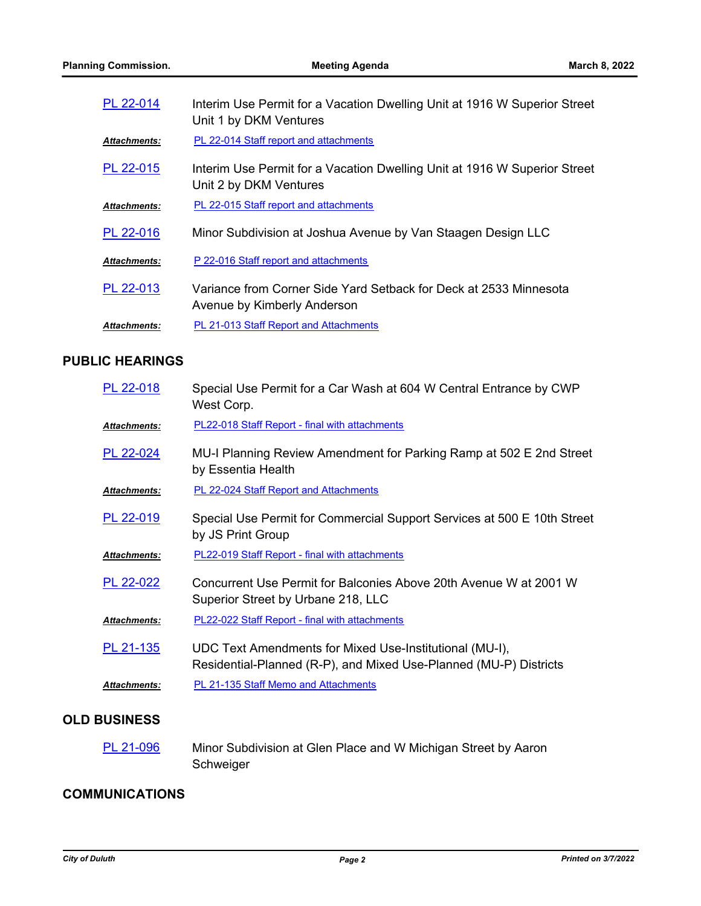| PL 22-014           | Interim Use Permit for a Vacation Dwelling Unit at 1916 W Superior Street<br>Unit 1 by DKM Ventures |
|---------------------|-----------------------------------------------------------------------------------------------------|
| Attachments:        | PL 22-014 Staff report and attachments                                                              |
| PL 22-015           | Interim Use Permit for a Vacation Dwelling Unit at 1916 W Superior Street<br>Unit 2 by DKM Ventures |
| Attachments:        | PL 22-015 Staff report and attachments                                                              |
| PL 22-016           | Minor Subdivision at Joshua Avenue by Van Staagen Design LLC                                        |
| Attachments:        | P 22-016 Staff report and attachments                                                               |
| PL 22-013           | Variance from Corner Side Yard Setback for Deck at 2533 Minnesota<br>Avenue by Kimberly Anderson    |
| <b>Attachments:</b> | <b>PL 21-013 Staff Report and Attachments</b>                                                       |

## **PUBLIC HEARINGS**

| PL 22-018    | Special Use Permit for a Car Wash at 604 W Central Entrance by CWP<br>West Corp.                                             |
|--------------|------------------------------------------------------------------------------------------------------------------------------|
| Attachments: | PL22-018 Staff Report - final with attachments                                                                               |
| PL 22-024    | MU-I Planning Review Amendment for Parking Ramp at 502 E 2nd Street<br>by Essentia Health                                    |
| Attachments: | PL 22-024 Staff Report and Attachments                                                                                       |
| PL 22-019    | Special Use Permit for Commercial Support Services at 500 E 10th Street<br>by JS Print Group                                 |
| Attachments: | <b>PL22-019 Staff Report - final with attachments</b>                                                                        |
| PL 22-022    | Concurrent Use Permit for Balconies Above 20th Avenue W at 2001 W<br>Superior Street by Urbane 218, LLC                      |
| Attachments: | PL22-022 Staff Report - final with attachments                                                                               |
| PL 21-135    | UDC Text Amendments for Mixed Use-Institutional (MU-I),<br>Residential-Planned (R-P), and Mixed Use-Planned (MU-P) Districts |
| Attachments: | PL 21-135 Staff Memo and Attachments                                                                                         |

## **OLD BUSINESS**

Minor Subdivision at Glen Place and W Michigan Street by Aaron Schweiger [PL 21-096](http://duluth-mn.legistar.com/gateway.aspx?m=l&id=/matter.aspx?key=7053)

## **COMMUNICATIONS**